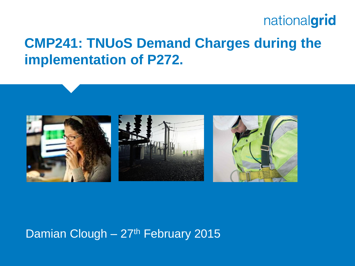### **CMP241: TNUoS Demand Charges during the implementation of P272.**



#### Damian Clough  $-27$ <sup>th</sup> February 2015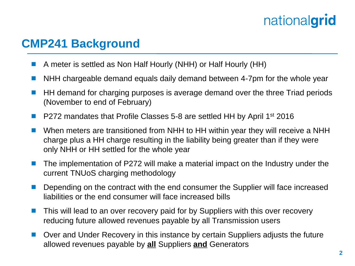#### **CMP241 Background**

- A meter is settled as Non Half Hourly (NHH) or Half Hourly (HH)
- **NHH** chargeable demand equals daily demand between 4-7pm for the whole year
- HH demand for charging purposes is average demand over the three Triad periods (November to end of February)
- P272 mandates that Profile Classes 5-8 are settled HH by April 1<sup>st</sup> 2016
- When meters are transitioned from NHH to HH within year they will receive a NHH charge plus a HH charge resulting in the liability being greater than if they were only NHH or HH settled for the whole year
- $\blacksquare$  The implementation of P272 will make a material impact on the Industry under the current TNUoS charging methodology
- Depending on the contract with the end consumer the Supplier will face increased liabilities or the end consumer will face increased bills
- This will lead to an over recovery paid for by Suppliers with this over recovery reducing future allowed revenues payable by all Transmission users
- Over and Under Recovery in this instance by certain Suppliers adjusts the future allowed revenues payable by **all** Suppliers **and** Generators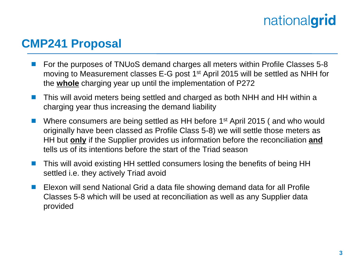#### **CMP241 Proposal**

- For the purposes of TNUoS demand charges all meters within Profile Classes 5-8 moving to Measurement classes E-G post 1st April 2015 will be settled as NHH for the **whole** charging year up until the implementation of P272
- This will avoid meters being settled and charged as both NHH and HH within a charging year thus increasing the demand liability
- Where consumers are being settled as HH before 1<sup>st</sup> April 2015 (and who would originally have been classed as Profile Class 5-8) we will settle those meters as HH but **only** if the Supplier provides us information before the reconciliation **and** tells us of its intentions before the start of the Triad season
- This will avoid existing HH settled consumers losing the benefits of being HH settled i.e. they actively Triad avoid
- Elexon will send National Grid a data file showing demand data for all Profile Classes 5-8 which will be used at reconciliation as well as any Supplier data provided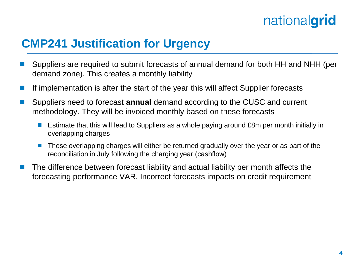#### **CMP241 Justification for Urgency**

- Suppliers are required to submit forecasts of annual demand for both HH and NHH (per demand zone). This creates a monthly liability
- If implementation is after the start of the year this will affect Supplier forecasts
- Suppliers need to forecast **annual** demand according to the CUSC and current methodology. They will be invoiced monthly based on these forecasts
	- Estimate that this will lead to Suppliers as a whole paying around £8m per month initially in overlapping charges
	- These overlapping charges will either be returned gradually over the year or as part of the reconciliation in July following the charging year (cashflow)
- The difference between forecast liability and actual liability per month affects the forecasting performance VAR. Incorrect forecasts impacts on credit requirement